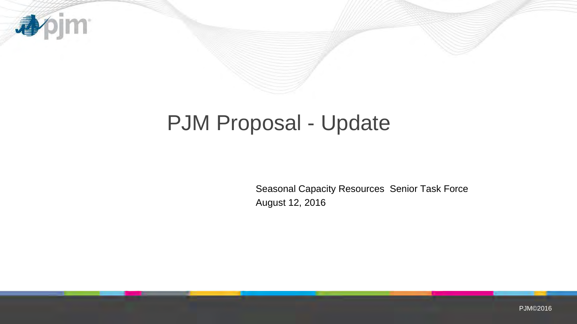

# PJM Proposal - Update

Seasonal Capacity Resources Senior Task Force August 12, 2016

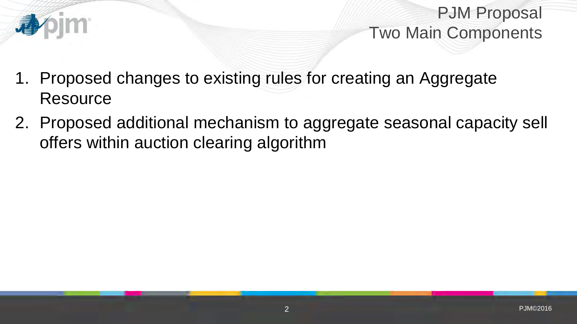

PJM Proposal Two Main Components

- 1. Proposed changes to existing rules for creating an Aggregate **Resource**
- 2. Proposed additional mechanism to aggregate seasonal capacity sell offers within auction clearing algorithm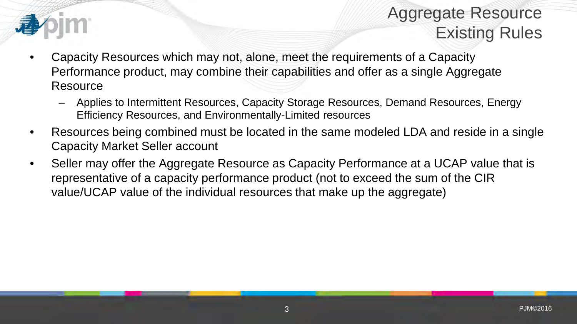

### Aggregate Resource Existing Rules

- Capacity Resources which may not, alone, meet the requirements of a Capacity Performance product, may combine their capabilities and offer as a single Aggregate **Resource** 
	- Applies to Intermittent Resources, Capacity Storage Resources, Demand Resources, Energy Efficiency Resources, and Environmentally-Limited resources
- Resources being combined must be located in the same modeled LDA and reside in a single Capacity Market Seller account
- Seller may offer the Aggregate Resource as Capacity Performance at a UCAP value that is representative of a capacity performance product (not to exceed the sum of the CIR value/UCAP value of the individual resources that make up the aggregate)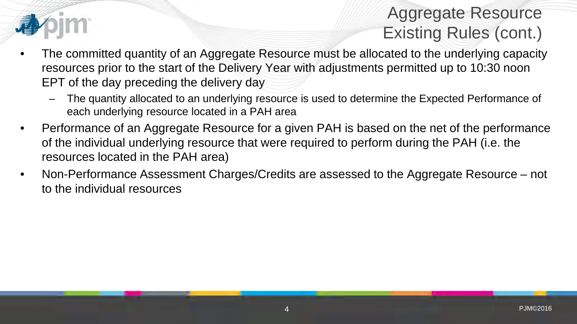

### Aggregate Resource Existing Rules (cont.)

- The committed quantity of an Aggregate Resource must be allocated to the underlying capacity resources prior to the start of the Delivery Year with adjustments permitted up to 10:30 noon EPT of the day preceding the delivery day
	- The quantity allocated to an underlying resource is used to determine the Expected Performance of each underlying resource located in a PAH area
- Performance of an Aggregate Resource for a given PAH is based on the net of the performance of the individual underlying resource that were required to perform during the PAH (i.e. the resources located in the PAH area)
- Non-Performance Assessment Charges/Credits are assessed to the Aggregate Resource not to the individual resources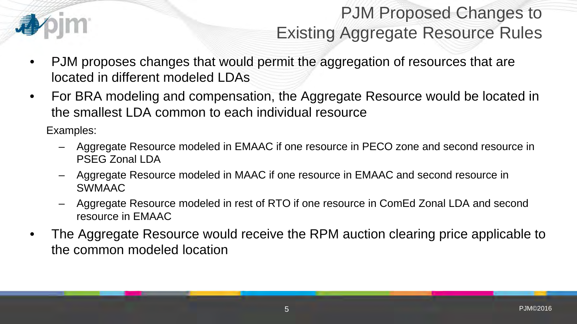

## PJM Proposed Changes to Existing Aggregate Resource Rules

- PJM proposes changes that would permit the aggregation of resources that are located in different modeled LDAs
- For BRA modeling and compensation, the Aggregate Resource would be located in the smallest LDA common to each individual resource

Examples:

- Aggregate Resource modeled in EMAAC if one resource in PECO zone and second resource in PSEG Zonal LDA
- Aggregate Resource modeled in MAAC if one resource in EMAAC and second resource in SWMAAC
- Aggregate Resource modeled in rest of RTO if one resource in ComEd Zonal LDA and second resource in EMAAC
- The Aggregate Resource would receive the RPM auction clearing price applicable to the common modeled location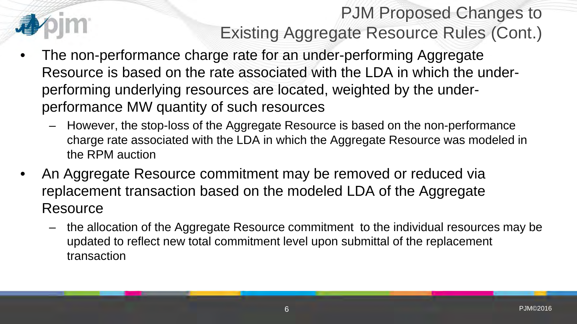## PJM Proposed Changes to Existing Aggregate Resource Rules (Cont.)

- The non-performance charge rate for an under-performing Aggregate Resource is based on the rate associated with the LDA in which the underperforming underlying resources are located, weighted by the underperformance MW quantity of such resources
	- However, the stop-loss of the Aggregate Resource is based on the non-performance charge rate associated with the LDA in which the Aggregate Resource was modeled in the RPM auction
- An Aggregate Resource commitment may be removed or reduced via replacement transaction based on the modeled LDA of the Aggregate **Resource** 
	- the allocation of the Aggregate Resource commitment to the individual resources may be updated to reflect new total commitment level upon submittal of the replacement transaction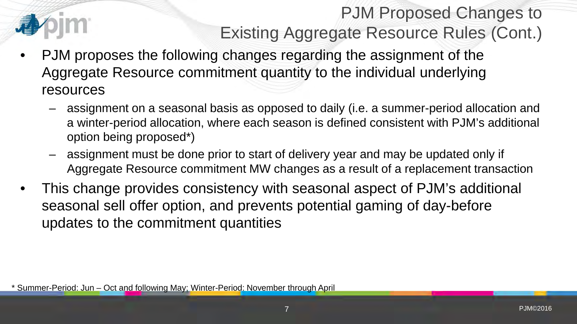

## PJM Proposed Changes to Existing Aggregate Resource Rules (Cont.)

- PJM proposes the following changes regarding the assignment of the Aggregate Resource commitment quantity to the individual underlying resources
	- assignment on a seasonal basis as opposed to daily (i.e. a summer-period allocation and a winter-period allocation, where each season is defined consistent with PJM's additional option being proposed\*)
	- assignment must be done prior to start of delivery year and may be updated only if Aggregate Resource commitment MW changes as a result of a replacement transaction
- This change provides consistency with seasonal aspect of PJM's additional seasonal sell offer option, and prevents potential gaming of day-before updates to the commitment quantities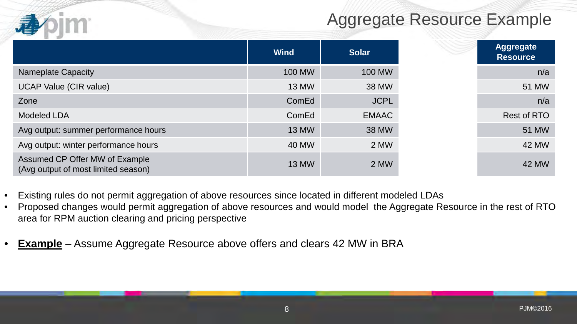#### Aggregate Resource Example

|                                                                       | <b>Wind</b>   | <b>Solar</b>  |
|-----------------------------------------------------------------------|---------------|---------------|
| Nameplate Capacity                                                    | <b>100 MW</b> | <b>100 MW</b> |
| <b>UCAP Value (CIR value)</b>                                         | <b>13 MW</b>  | 38 MW         |
| Zone                                                                  | ComEd         | <b>JCPL</b>   |
| <b>Modeled LDA</b>                                                    | ComEd         | <b>EMAAC</b>  |
| Avg output: summer performance hours                                  | <b>13 MW</b>  | <b>38 MW</b>  |
| Avg output: winter performance hours                                  | 40 MW         | 2 MW          |
| Assumed CP Offer MW of Example<br>(Avg output of most limited season) | <b>13 MW</b>  | 2 MW          |

- Existing rules do not permit aggregation of above resources since located in different modeled LDAs
- Proposed changes would permit aggregation of above resources and would model the Aggregate Resource in the rest of RTO area for RPM auction clearing and pricing perspective
- **Example** Assume Aggregate Resource above offers and clears 42 MW in BRA

小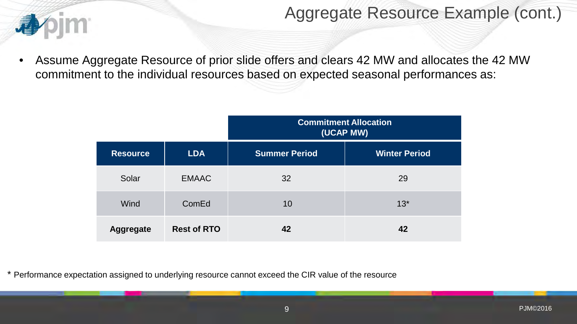

#### Aggregate Resource Example (cont.)

• Assume Aggregate Resource of prior slide offers and clears 42 MW and allocates the 42 MW commitment to the individual resources based on expected seasonal performances as:

|                  |                    | <b>Commitment Allocation</b><br>(UCAP MW) |                      |  |  |
|------------------|--------------------|-------------------------------------------|----------------------|--|--|
| <b>Resource</b>  | <b>LDA</b>         | <b>Summer Period</b>                      | <b>Winter Period</b> |  |  |
| Solar            | <b>EMAAC</b>       | 32                                        | 29                   |  |  |
| <b>Wind</b>      | ComEd              | 10                                        | $13*$                |  |  |
| <b>Aggregate</b> | <b>Rest of RTO</b> | 42                                        | 42                   |  |  |

\* Performance expectation assigned to underlying resource cannot exceed the CIR value of the resource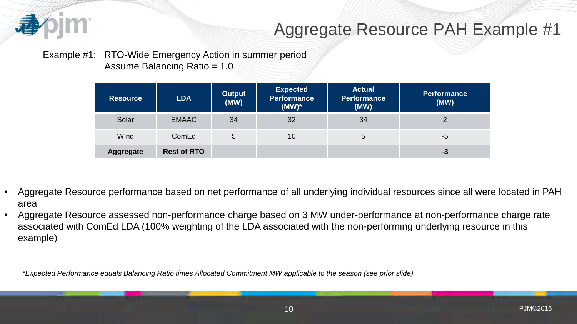

#### Aggregate Resource PAH Example #1

#### Example #1: RTO-Wide Emergency Action in summer period Assume Balancing Ratio = 1.0

| <b>Resource</b>  | <b>LDA</b>         | <b>Output</b><br>(MW) | <b>Expected</b><br><b>Performance</b><br>$(MW)^*$ | <b>Actual</b><br><b>Performance</b><br>(MW) | <b>Performance</b><br>(MW) |
|------------------|--------------------|-----------------------|---------------------------------------------------|---------------------------------------------|----------------------------|
| Solar            | <b>EMAAC</b>       | 34                    | 32                                                | 34                                          | 2                          |
| Wind             | ComEd              | 5                     | 10                                                | 5                                           | $-5$                       |
| <b>Aggregate</b> | <b>Rest of RTO</b> |                       |                                                   |                                             | $-3$                       |

- Aggregate Resource performance based on net performance of all underlying individual resources since all were located in PAH area
- Aggregate Resource assessed non-performance charge based on 3 MW under-performance at non-performance charge rate associated with ComEd LDA (100% weighting of the LDA associated with the non-performing underlying resource in this example)

*\*Expected Performance equals Balancing Ratio times Allocated Commitment MW applicable to the season (see prior slide)*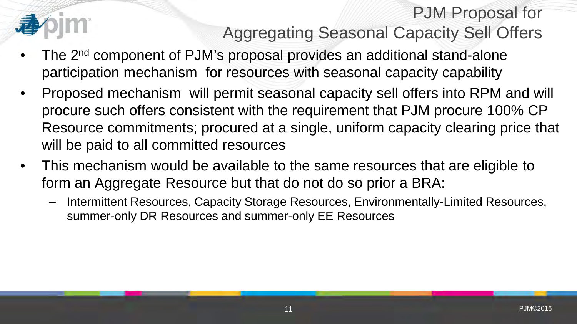## PJM Proposal for Aggregating Seasonal Capacity Sell Offers

- The 2<sup>nd</sup> component of PJM's proposal provides an additional stand-alone participation mechanism for resources with seasonal capacity capability
- Proposed mechanism will permit seasonal capacity sell offers into RPM and will procure such offers consistent with the requirement that PJM procure 100% CP Resource commitments; procured at a single, uniform capacity clearing price that will be paid to all committed resources
- This mechanism would be available to the same resources that are eligible to form an Aggregate Resource but that do not do so prior a BRA:
	- Intermittent Resources, Capacity Storage Resources, Environmentally-Limited Resources, summer-only DR Resources and summer-only EE Resources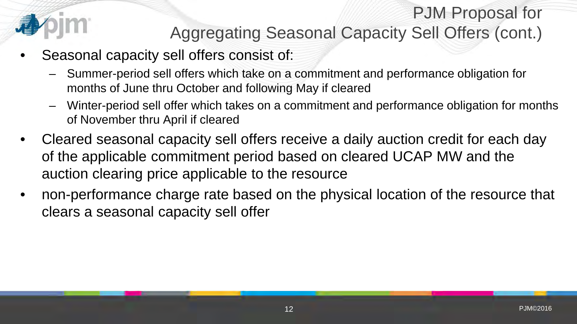

### PJM Proposal for Aggregating Seasonal Capacity Sell Offers (cont.)

- Seasonal capacity sell offers consist of:
	- Summer-period sell offers which take on a commitment and performance obligation for months of June thru October and following May if cleared
	- Winter-period sell offer which takes on a commitment and performance obligation for months of November thru April if cleared
- Cleared seasonal capacity sell offers receive a daily auction credit for each day of the applicable commitment period based on cleared UCAP MW and the auction clearing price applicable to the resource
- non-performance charge rate based on the physical location of the resource that clears a seasonal capacity sell offer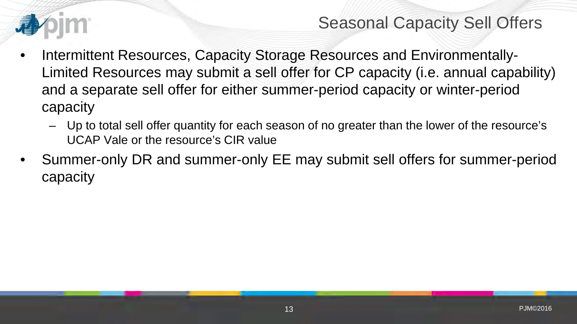

#### Seasonal Capacity Sell Offers

- Intermittent Resources, Capacity Storage Resources and Environmentally-Limited Resources may submit a sell offer for CP capacity (i.e. annual capability) and a separate sell offer for either summer-period capacity or winter-period capacity
	- Up to total sell offer quantity for each season of no greater than the lower of the resource's UCAP Vale or the resource's CIR value
- Summer-only DR and summer-only EE may submit sell offers for summer-period capacity